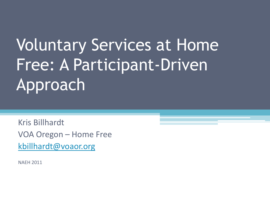# Voluntary Services at Home Free: A Participant-Driven **Approach**

Kris Billhardt VOA Oregon – Home Free [kbillhardt@voaor.org](mailto:kbillhardt@voaor.org)

NAEH 2011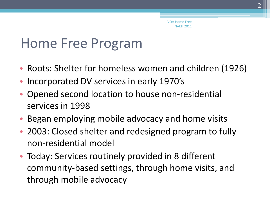#### Home Free Program

- Roots: Shelter for homeless women and children (1926)
- Incorporated DV services in early 1970's
- Opened second location to house non-residential services in 1998
- Began employing mobile advocacy and home visits
- 2003: Closed shelter and redesigned program to fully non-residential model
- Today: Services routinely provided in 8 different community-based settings, through home visits, and through mobile advocacy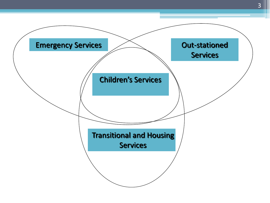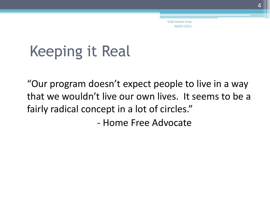## Keeping it Real

"Our program doesn't expect people to live in a way that we wouldn't live our own lives. It seems to be a fairly radical concept in a lot of circles."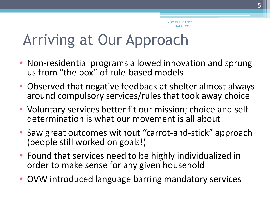## Arriving at Our Approach

- Non-residential programs allowed innovation and sprung us from "the box" of rule-based models
- Observed that negative feedback at shelter almost always around compulsory services/rules that took away choice
- Voluntary services better fit our mission; choice and selfdetermination is what our movement is all about
- Saw great outcomes without "carrot-and-stick" approach (people still worked on goals!)
- Found that services need to be highly individualized in order to make sense for any given household
- OVW introduced language barring mandatory services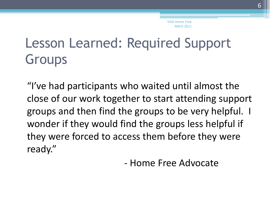## Lesson Learned: Required Support Groups

"I've had participants who waited until almost the close of our work together to start attending support groups and then find the groups to be very helpful. I wonder if they would find the groups less helpful if they were forced to access them before they were ready."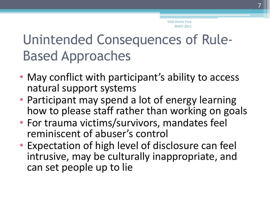## Unintended Consequences of Rule-Based Approaches

- May conflict with participant's ability to access natural support systems
- Participant may spend a lot of energy learning how to please staff rather than working on goals
- For trauma victims/survivors, mandates feel reminiscent of abuser's control
- Expectation of high level of disclosure can feel intrusive, may be culturally inappropriate, and can set people up to lie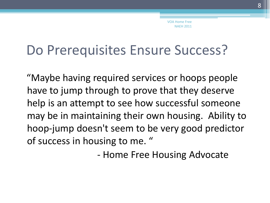#### Do Prerequisites Ensure Success?

"Maybe having required services or hoops people have to jump through to prove that they deserve help is an attempt to see how successful someone may be in maintaining their own housing. Ability to hoop-jump doesn't seem to be very good predictor of success in housing to me. "

- Home Free Housing Advocate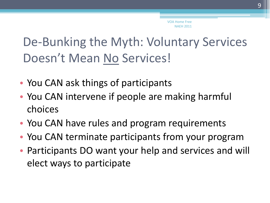#### De-Bunking the Myth: Voluntary Services Doesn't Mean No Services!

- You CAN ask things of participants
- You CAN intervene if people are making harmful choices
- You CAN have rules and program requirements
- You CAN terminate participants from your program
- Participants DO want your help and services and will elect ways to participate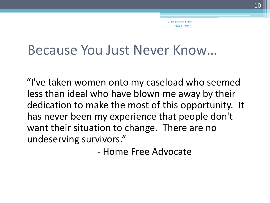#### Because You Just Never Know…

"I've taken women onto my caseload who seemed less than ideal who have blown me away by their dedication to make the most of this opportunity. It has never been my experience that people don't want their situation to change. There are no undeserving survivors."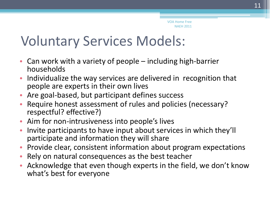#### Voluntary Services Models:

- Can work with a variety of people including high-barrier households
- Individualize the way services are delivered in recognition that people are experts in their own lives
- Are goal-based, but participant defines success
- Require honest assessment of rules and policies (necessary? respectful? effective?)
- Aim for non-intrusiveness into people's lives
- Invite participants to have input about services in which they'll participate and information they will share
- Provide clear, consistent information about program expectations
- Rely on natural consequences as the best teacher
- Acknowledge that even though experts in the field, we don't know what's best for everyone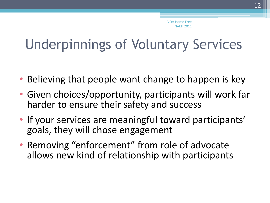#### Underpinnings of Voluntary Services

- Believing that people want change to happen is key
- Given choices/opportunity, participants will work far harder to ensure their safety and success
- If your services are meaningful toward participants' goals, they will chose engagement
- Removing "enforcement" from role of advocate allows new kind of relationship with participants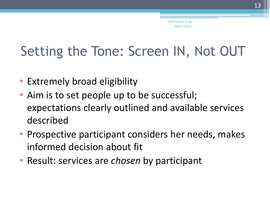## Setting the Tone: Screen IN, Not OUT

- Extremely broad eligibility
- Aim is to set people up to be successful; expectations clearly outlined and available services described
- Prospective participant considers her needs, makes informed decision about fit
- Result: services are *chosen* by participant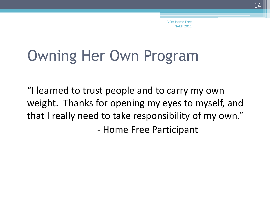## Owning Her Own Program

"I learned to trust people and to carry my own weight. Thanks for opening my eyes to myself, and that I really need to take responsibility of my own."

- Home Free Participant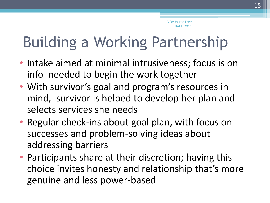## Building a Working Partnership

- Intake aimed at minimal intrusiveness; focus is on info needed to begin the work together
- With survivor's goal and program's resources in mind, survivor is helped to develop her plan and selects services she needs
- Regular check-ins about goal plan, with focus on successes and problem-solving ideas about addressing barriers
- Participants share at their discretion; having this choice invites honesty and relationship that's more genuine and less power-based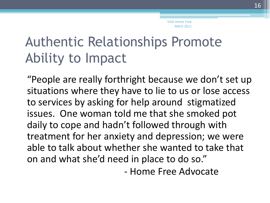### Authentic Relationships Promote Ability to Impact

"People are really forthright because we don't set up situations where they have to lie to us or lose access to services by asking for help around stigmatized issues. One woman told me that she smoked pot daily to cope and hadn't followed through with treatment for her anxiety and depression; we were able to talk about whether she wanted to take that on and what she'd need in place to do so."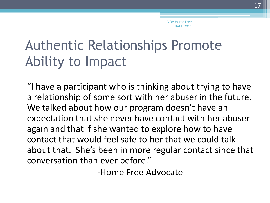## Authentic Relationships Promote Ability to Impact

"I have a participant who is thinking about trying to have a relationship of some sort with her abuser in the future. We talked about how our program doesn't have an expectation that she never have contact with her abuser again and that if she wanted to explore how to have contact that would feel safe to her that we could talk about that. She's been in more regular contact since that conversation than ever before."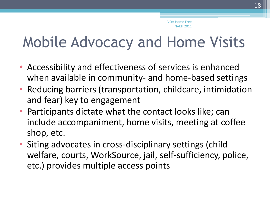## Mobile Advocacy and Home Visits

- Accessibility and effectiveness of services is enhanced when available in community- and home-based settings
- Reducing barriers (transportation, childcare, intimidation and fear) key to engagement
- Participants dictate what the contact looks like; can include accompaniment, home visits, meeting at coffee shop, etc.
- Siting advocates in cross-disciplinary settings (child welfare, courts, WorkSource, jail, self-sufficiency, police, etc.) provides multiple access points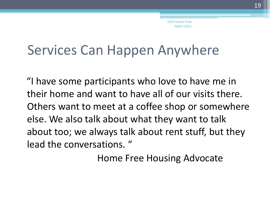#### Services Can Happen Anywhere

"I have some participants who love to have me in their home and want to have all of our visits there. Others want to meet at a coffee shop or somewhere else. We also talk about what they want to talk about too; we always talk about rent stuff, but they lead the conversations. "

Home Free Housing Advocate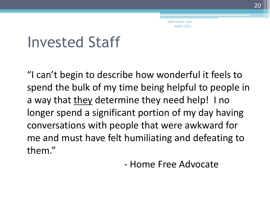## Invested Staff

"I can't begin to describe how wonderful it feels to spend the bulk of my time being helpful to people in a way that they determine they need help! I no longer spend a significant portion of my day having conversations with people that were awkward for me and must have felt humiliating and defeating to them."